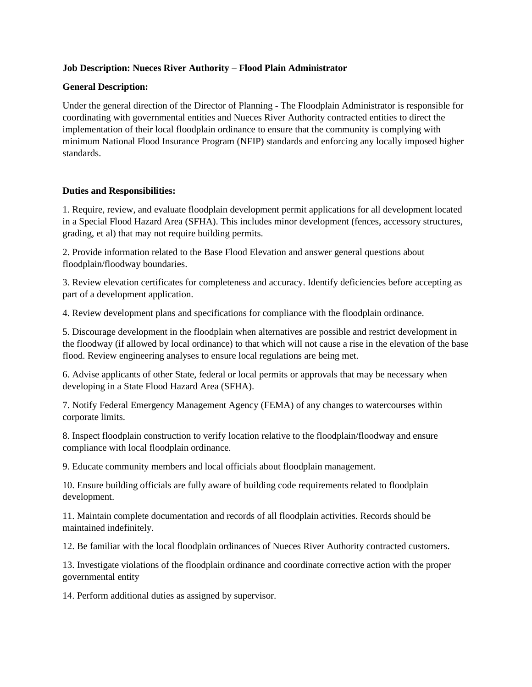## **Job Description: Nueces River Authority – Flood Plain Administrator**

### **General Description:**

Under the general direction of the Director of Planning - The Floodplain Administrator is responsible for coordinating with governmental entities and Nueces River Authority contracted entities to direct the implementation of their local floodplain ordinance to ensure that the community is complying with minimum National Flood Insurance Program (NFIP) standards and enforcing any locally imposed higher standards.

## **Duties and Responsibilities:**

1. Require, review, and evaluate floodplain development permit applications for all development located in a Special Flood Hazard Area (SFHA). This includes minor development (fences, accessory structures, grading, et al) that may not require building permits.

2. Provide information related to the Base Flood Elevation and answer general questions about floodplain/floodway boundaries.

3. Review elevation certificates for completeness and accuracy. Identify deficiencies before accepting as part of a development application.

4. Review development plans and specifications for compliance with the floodplain ordinance.

5. Discourage development in the floodplain when alternatives are possible and restrict development in the floodway (if allowed by local ordinance) to that which will not cause a rise in the elevation of the base flood. Review engineering analyses to ensure local regulations are being met.

6. Advise applicants of other State, federal or local permits or approvals that may be necessary when developing in a State Flood Hazard Area (SFHA).

7. Notify Federal Emergency Management Agency (FEMA) of any changes to watercourses within corporate limits.

8. Inspect floodplain construction to verify location relative to the floodplain/floodway and ensure compliance with local floodplain ordinance.

9. Educate community members and local officials about floodplain management.

10. Ensure building officials are fully aware of building code requirements related to floodplain development.

11. Maintain complete documentation and records of all floodplain activities. Records should be maintained indefinitely.

12. Be familiar with the local floodplain ordinances of Nueces River Authority contracted customers.

13. Investigate violations of the floodplain ordinance and coordinate corrective action with the proper governmental entity

14. Perform additional duties as assigned by supervisor.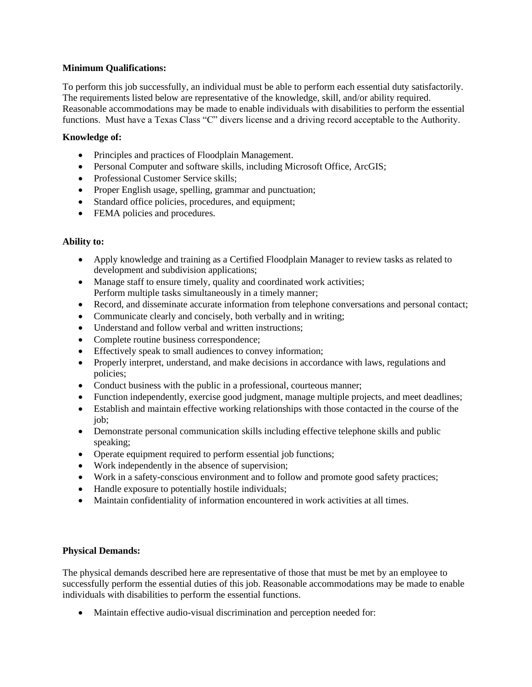### **Minimum Qualifications:**

To perform this job successfully, an individual must be able to perform each essential duty satisfactorily. The requirements listed below are representative of the knowledge, skill, and/or ability required. Reasonable accommodations may be made to enable individuals with disabilities to perform the essential functions. Must have a Texas Class "C" divers license and a driving record acceptable to the Authority.

# **Knowledge of:**

- Principles and practices of Floodplain Management.
- Personal Computer and software skills, including Microsoft Office, ArcGIS;
- Professional Customer Service skills:
- Proper English usage, spelling, grammar and punctuation;
- Standard office policies, procedures, and equipment;
- FEMA policies and procedures.

## **Ability to:**

- Apply knowledge and training as a Certified Floodplain Manager to review tasks as related to development and subdivision applications;
- Manage staff to ensure timely, quality and coordinated work activities; Perform multiple tasks simultaneously in a timely manner;
- Record, and disseminate accurate information from telephone conversations and personal contact;
- Communicate clearly and concisely, both verbally and in writing;
- Understand and follow verbal and written instructions;
- Complete routine business correspondence;
- Effectively speak to small audiences to convey information;
- Properly interpret, understand, and make decisions in accordance with laws, regulations and policies;
- Conduct business with the public in a professional, courteous manner;
- Function independently, exercise good judgment, manage multiple projects, and meet deadlines;
- Establish and maintain effective working relationships with those contacted in the course of the job;
- Demonstrate personal communication skills including effective telephone skills and public speaking;
- Operate equipment required to perform essential job functions;
- Work independently in the absence of supervision;
- Work in a safety-conscious environment and to follow and promote good safety practices;
- Handle exposure to potentially hostile individuals;
- Maintain confidentiality of information encountered in work activities at all times.

#### **Physical Demands:**

The physical demands described here are representative of those that must be met by an employee to successfully perform the essential duties of this job. Reasonable accommodations may be made to enable individuals with disabilities to perform the essential functions.

• Maintain effective audio-visual discrimination and perception needed for: